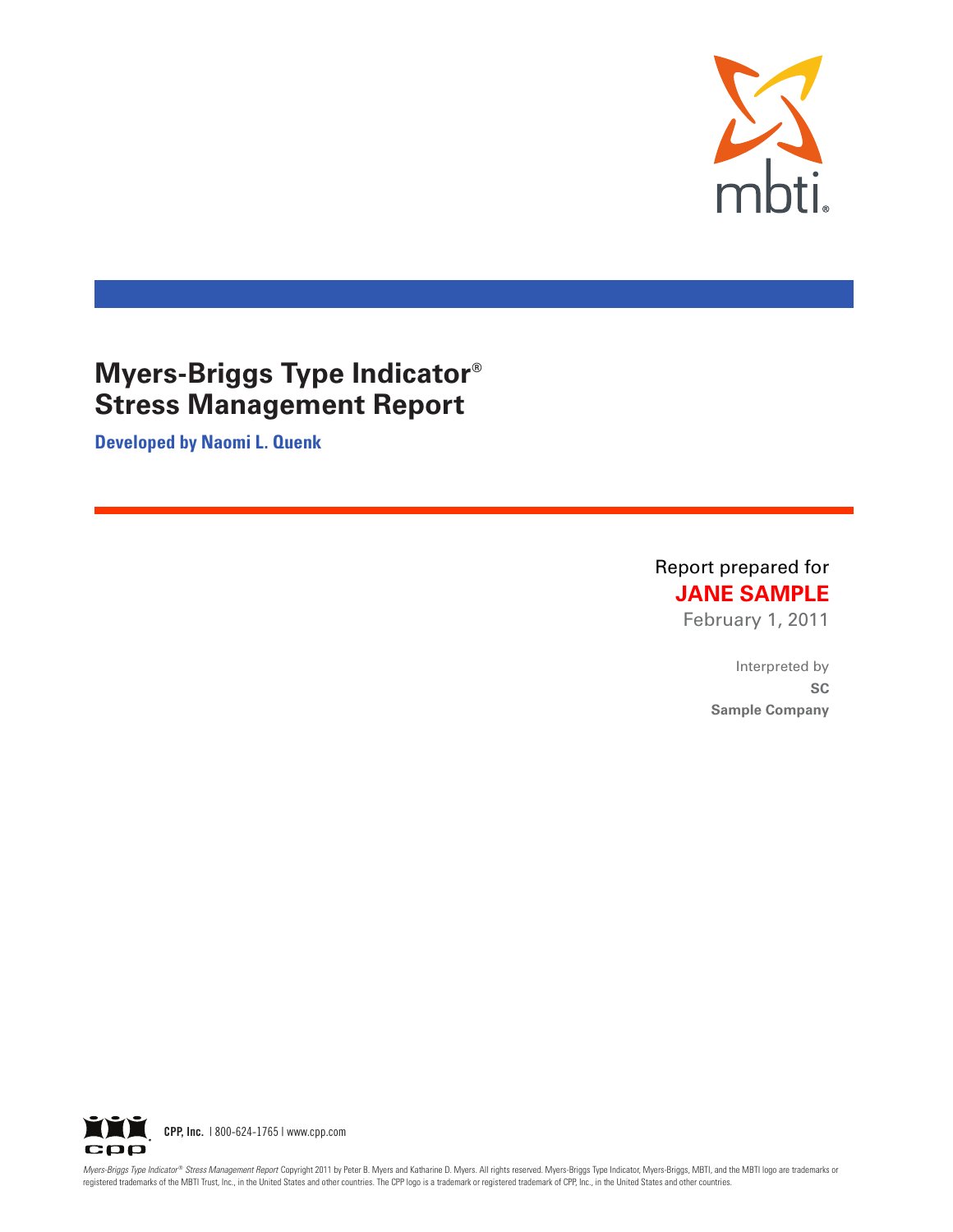

**Developed by Naomi L. Quenk**

Report prepared for **JANE SAMPLE** 

February 1, 2011

Interpreted by **6\$ Sample Company** 



Myers-Briggs Type Indicator® Stress Management Report Copyright 2011 by Peter B. Myers and Katharine D. Myers. All rights reserved. Myers-Briggs Type Indicator, Myers-Briggs, Type Indicator, Myers-Briggs, MBTI, and the MBT registered trademarks of the MBTI Trust, Inc., in the United States and other countries. The CPP logo is a trademark or registered trademark of CPP, Inc., in the United States and other countries.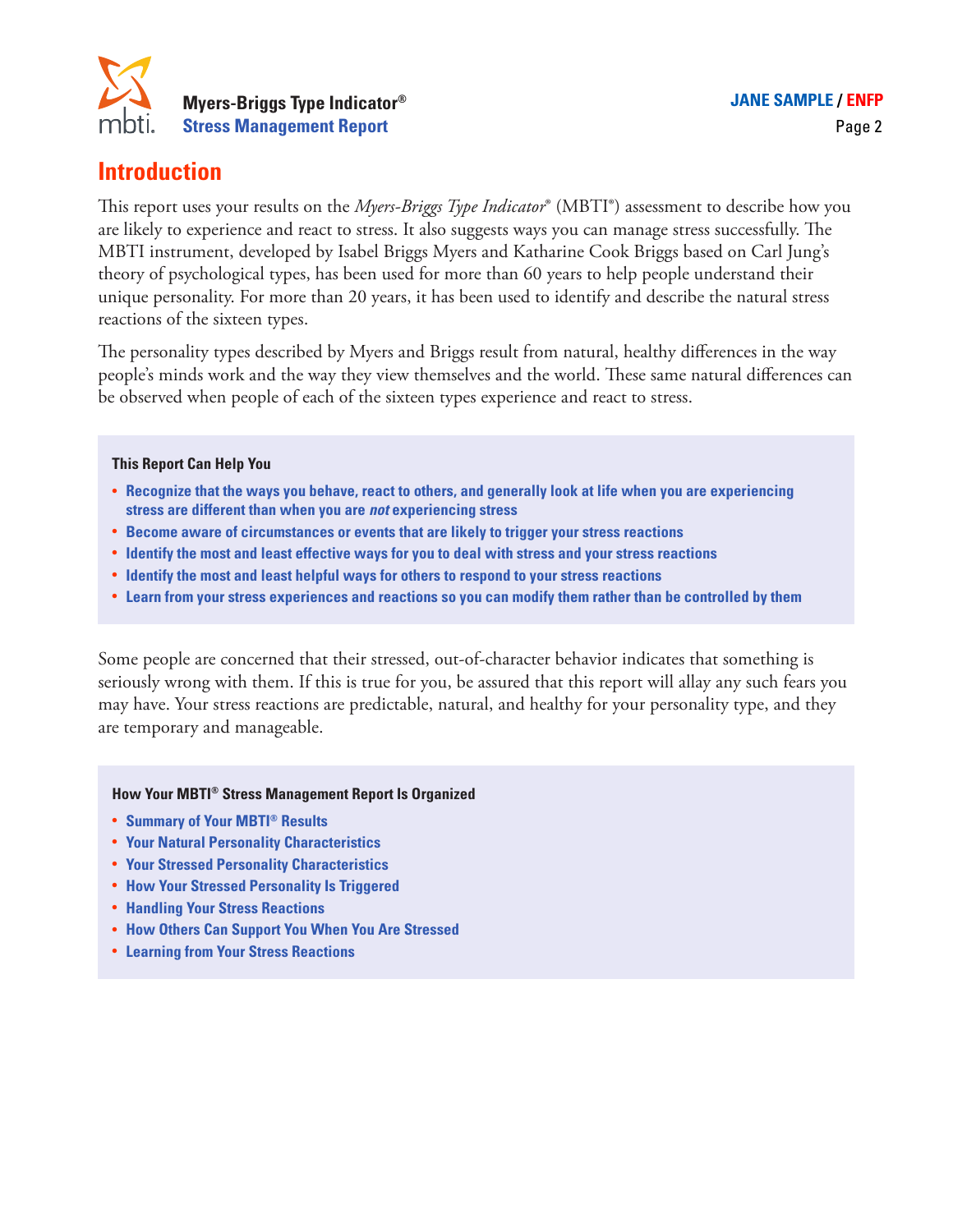

### **Introduction**

This report uses your results on the *Myers-Briggs Type Indicator*® (MBTI®) assessment to describe how you are likely to experience and react to stress. It also suggests ways you can manage stress successfully. The MBTI instrument, developed by Isabel Briggs Myers and Katharine Cook Briggs based on Carl Jung's theory of psychological types, has been used for more than 60 years to help people understand their unique personality. For more than 20 years, it has been used to identify and describe the natural stress reactions of the sixteen types.

The personality types described by Myers and Briggs result from natural, healthy differences in the way people's minds work and the way they view themselves and the world. These same natural differences can be observed when people of each of the sixteen types experience and react to stress.

#### **This Report Can Help You**

- **• Recognize that the ways you behave, react to others, and generally look at life when you are experiencing stress are different than when you are** *not* **experiencing stress**
- **• Become aware of circumstances or events that are likely to trigger your stress reactions**
- **• Identify the most and least effective ways for you to deal with stress and your stress reactions**
- **• Identify the most and least helpful ways for others to respond to your stress reactions**
- **• Learn from your stress experiences and reactions so you can modify them rather than be controlled by them**

Some people are concerned that their stressed, out-of-character behavior indicates that something is seriously wrong with them. If this is true for you, be assured that this report will allay any such fears you may have. Your stress reactions are predictable, natural, and healthy for your personality type, and they are temporary and manageable.

#### **How Your MBTI® Stress Management Report Is Organized**

- **• Summary of Your MBTI® Results**
- **• Your Natural Personality Characteristics**
- **• Your Stressed Personality Characteristics**
- **• How Your Stressed Personality Is Triggered**
- **• Handling Your Stress Reactions**
- **• How Others Can Support You When You Are Stressed**
- **• Learning from Your Stress Reactions**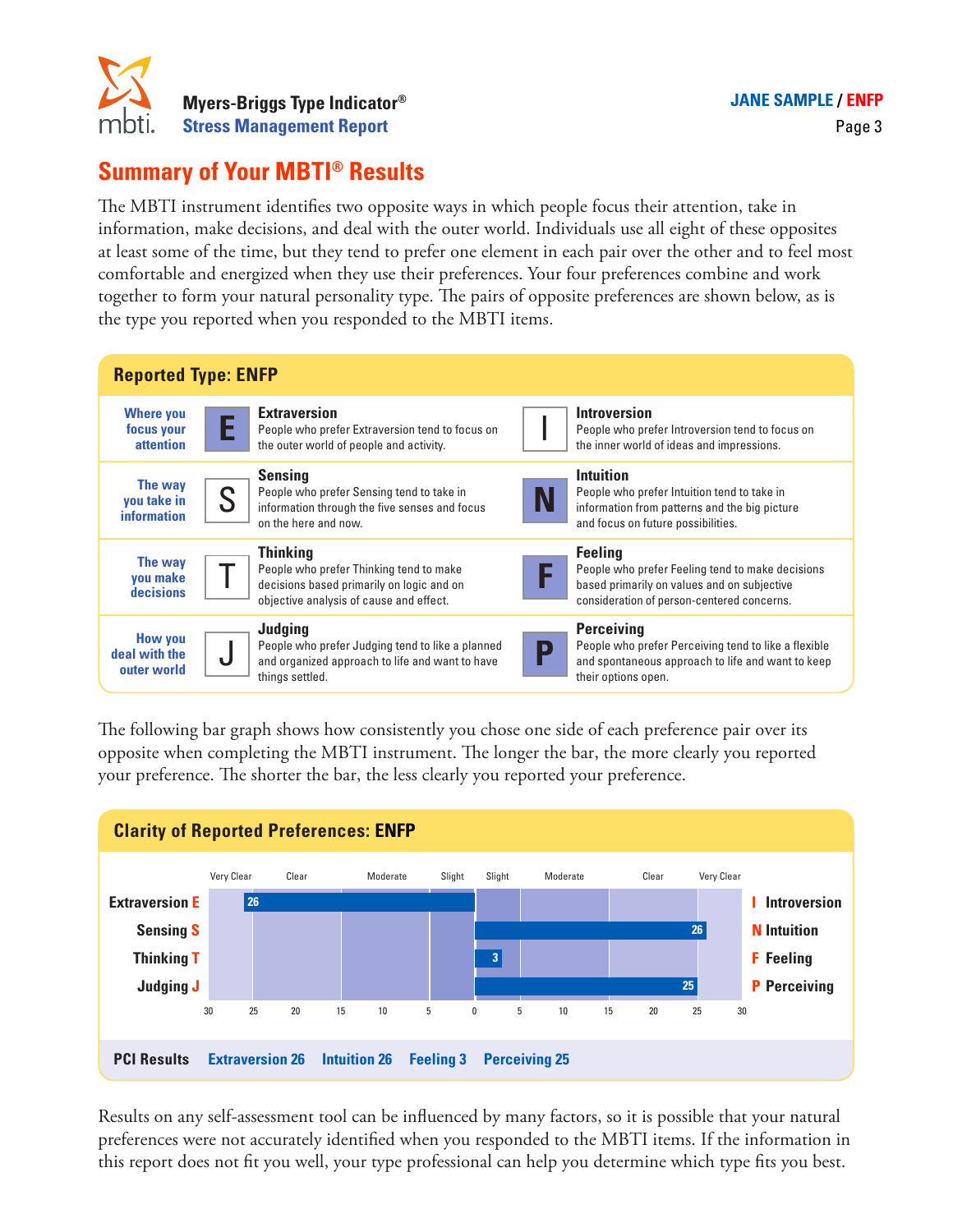

# **Summary of Your MBTI® Results**

The MBTI instrument identifies two opposite ways in which people focus their attention, take in information, make decisions, and deal with the outer world. Individuals use all eight of these opposites at least some of the time, but they tend to prefer one element in each pair over the other and to feel most comfortable and energized when they use their preferences. Your four preferences combine and work together to form your natural personality type. The pairs of opposite preferences are shown below, as is the type you reported when you responded to the MBTI items.



The following bar graph shows how consistently you chose one side of each preference pair over its opposite when completing the MBTI instrument. The longer the bar, the more clearly you reported your preference. The shorter the bar, the less clearly you reported your preference.



Results on any self-assessment tool can be influenced by many factors, so it is possible that your natural preferences were not accurately identified when you responded to the MBTI items. If the information in this report does not fit you well, your type professional can help you determine which type fits you best.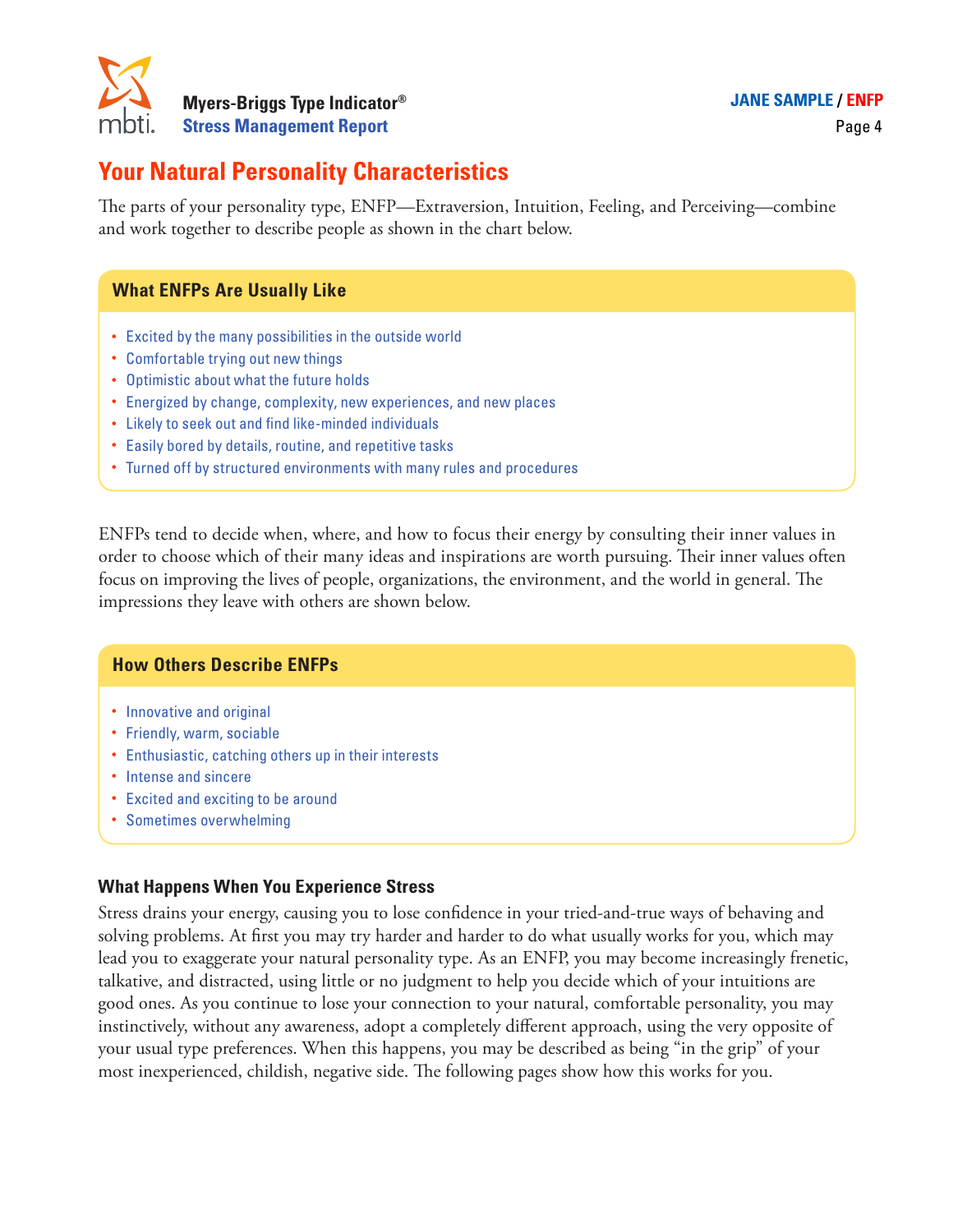

# **Your Natural Personality Characteristics**

The parts of your personality type, ENFP—Extraversion, Intuition, Feeling, and Perceiving—combine and work together to describe people as shown in the chart below.

### **What ENFPs Are Usually Like**

- Excited by the many possibilities in the outside world
- Comfortable trying out new things
- Optimistic about what the future holds
- Energized by change, complexity, new experiences, and new places
- Likely to seek out and find like-minded individuals
- Easily bored by details, routine, and repetitive tasks
- Turned off by structured environments with many rules and procedures

ENFPs tend to decide when, where, and how to focus their energy by consulting their inner values in order to choose which of their many ideas and inspirations are worth pursuing. Their inner values often focus on improving the lives of people, organizations, the environment, and the world in general. The impressions they leave with others are shown below.

#### **How Others Describe ENFPs**

- Innovative and original
- Friendly, warm, sociable
- Enthusiastic, catching others up in their interests
- Intense and sincere
- Excited and exciting to be around
- Sometimes overwhelming

#### **What Happens When You Experience Stress**

Stress drains your energy, causing you to lose confidence in your tried-and-true ways of behaving and solving problems. At first you may try harder and harder to do what usually works for you, which may lead you to exaggerate your natural personality type. As an ENFP, you may become increasingly frenetic, talkative, and distracted, using little or no judgment to help you decide which of your intuitions are good ones. As you continue to lose your connection to your natural, comfortable personality, you may instinctively, without any awareness, adopt a completely different approach, using the very opposite of your usual type preferences. When this happens, you may be described as being "in the grip" of your most inexperienced, childish, negative side. The following pages show how this works for you.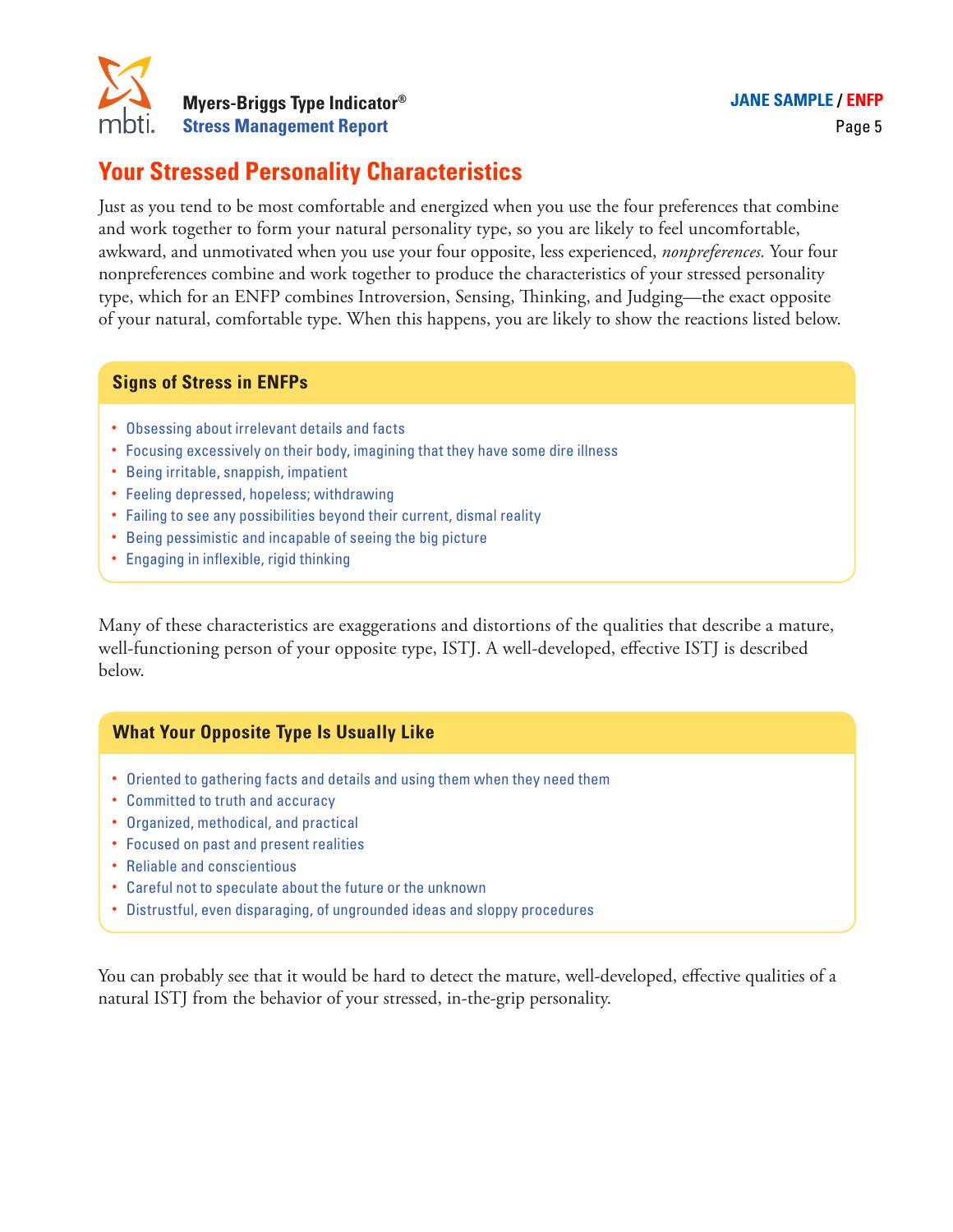

# **Your Stressed Personality Characteristics**

Just as you tend to be most comfortable and energized when you use the four preferences that combine and work together to form your natural personality type, so you are likely to feel uncomfortable, awkward, and unmotivated when you use your four opposite, less experienced, *nonpreferences.* Your four nonpreferences combine and work together to produce the characteristics of your stressed personality type, which for an ENFP combines Introversion, Sensing, Thinking, and Judging—the exact opposite of your natural, comfortable type. When this happens, you are likely to show the reactions listed below.

### **Signs of Stress in ENFPs**

- Obsessing about irrelevant details and facts
- Focusing excessively on their body, imagining that they have some dire illness
- Being irritable, snappish, impatient
- Feeling depressed, hopeless; withdrawing
- Failing to see any possibilities beyond their current, dismal reality
- Being pessimistic and incapable of seeing the big picture
- Engaging in inflexible, rigid thinking

Many of these characteristics are exaggerations and distortions of the qualities that describe a mature, well-functioning person of your opposite type, ISTJ. A well-developed, effective ISTJ is described below.

### **What Your Opposite Type Is Usually Like**

- Oriented to gathering facts and details and using them when they need them
- Committed to truth and accuracy
- Organized, methodical, and practical
- Focused on past and present realities
- Reliable and conscientious
- Careful not to speculate about the future or the unknown
- Distrustful, even disparaging, of ungrounded ideas and sloppy procedures

You can probably see that it would be hard to detect the mature, well-developed, effective qualities of a natural ISTJ from the behavior of your stressed, in-the-grip personality.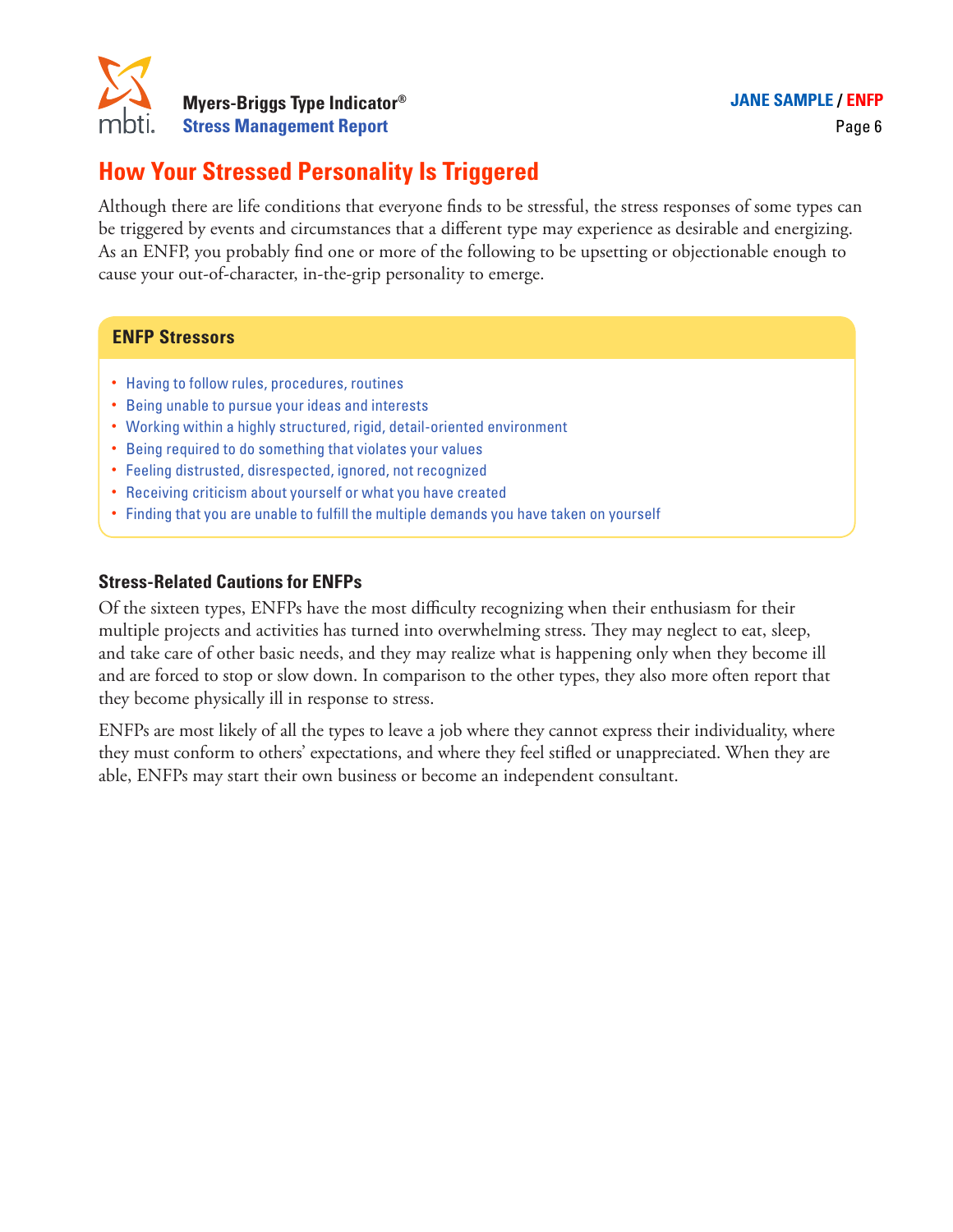

# **How Your Stressed Personality Is Triggered**

Although there are life conditions that everyone finds to be stressful, the stress responses of some types can be triggered by events and circumstances that a different type may experience as desirable and energizing. As an ENFP, you probably find one or more of the following to be upsetting or objectionable enough to cause your out-of-character, in-the-grip personality to emerge.

#### **ENFP Stressors**

- Having to follow rules, procedures, routines
- Being unable to pursue your ideas and interests
- Working within a highly structured, rigid, detail-oriented environment
- Being required to do something that violates your values
- Feeling distrusted, disrespected, ignored, not recognized
- Receiving criticism about yourself or what you have created
- Finding that you are unable to fulfill the multiple demands you have taken on yourself

#### **Stress-Related Cautions for ENFPs**

Of the sixteen types, ENFPs have the most difficulty recognizing when their enthusiasm for their multiple projects and activities has turned into overwhelming stress. They may neglect to eat, sleep, and take care of other basic needs, and they may realize what is happening only when they become ill and are forced to stop or slow down. In comparison to the other types, they also more often report that they become physically ill in response to stress.

ENFPs are most likely of all the types to leave a job where they cannot express their individuality, where they must conform to others' expectations, and where they feel stifled or unappreciated. When they are able, ENFPs may start their own business or become an independent consultant.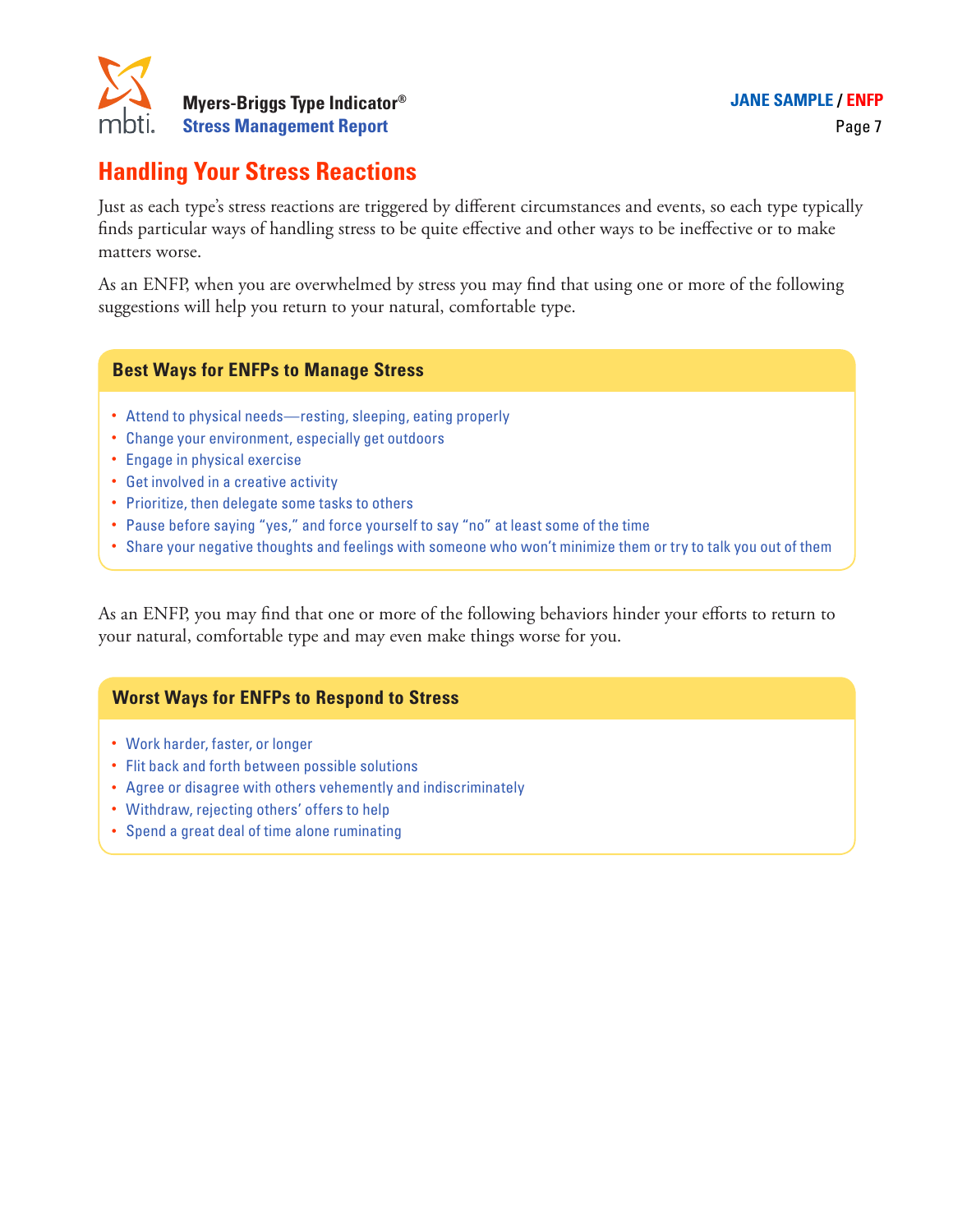

### **Handling Your Stress Reactions**

Just as each type's stress reactions are triggered by different circumstances and events, so each type typically finds particular ways of handling stress to be quite effective and other ways to be ineffective or to make matters worse.

As an ENFP, when you are overwhelmed by stress you may find that using one or more of the following suggestions will help you return to your natural, comfortable type.

#### **Best Ways for ENFPs to Manage Stress**

- Attend to physical needs—resting, sleeping, eating properly
- Change your environment, especially get outdoors
- Engage in physical exercise
- Get involved in a creative activity
- Prioritize, then delegate some tasks to others
- Pause before saying "yes," and force yourself to say "no" at least some of the time
- Share your negative thoughts and feelings with someone who won't minimize them or try to talk you out of them

As an ENFP, you may find that one or more of the following behaviors hinder your efforts to return to your natural, comfortable type and may even make things worse for you.

### **Worst Ways for ENFPs to Respond to Stress**

- Work harder, faster, or longer
- Flit back and forth between possible solutions
- Agree or disagree with others vehemently and indiscriminately
- Withdraw, rejecting others' offers to help
- Spend a great deal of time alone ruminating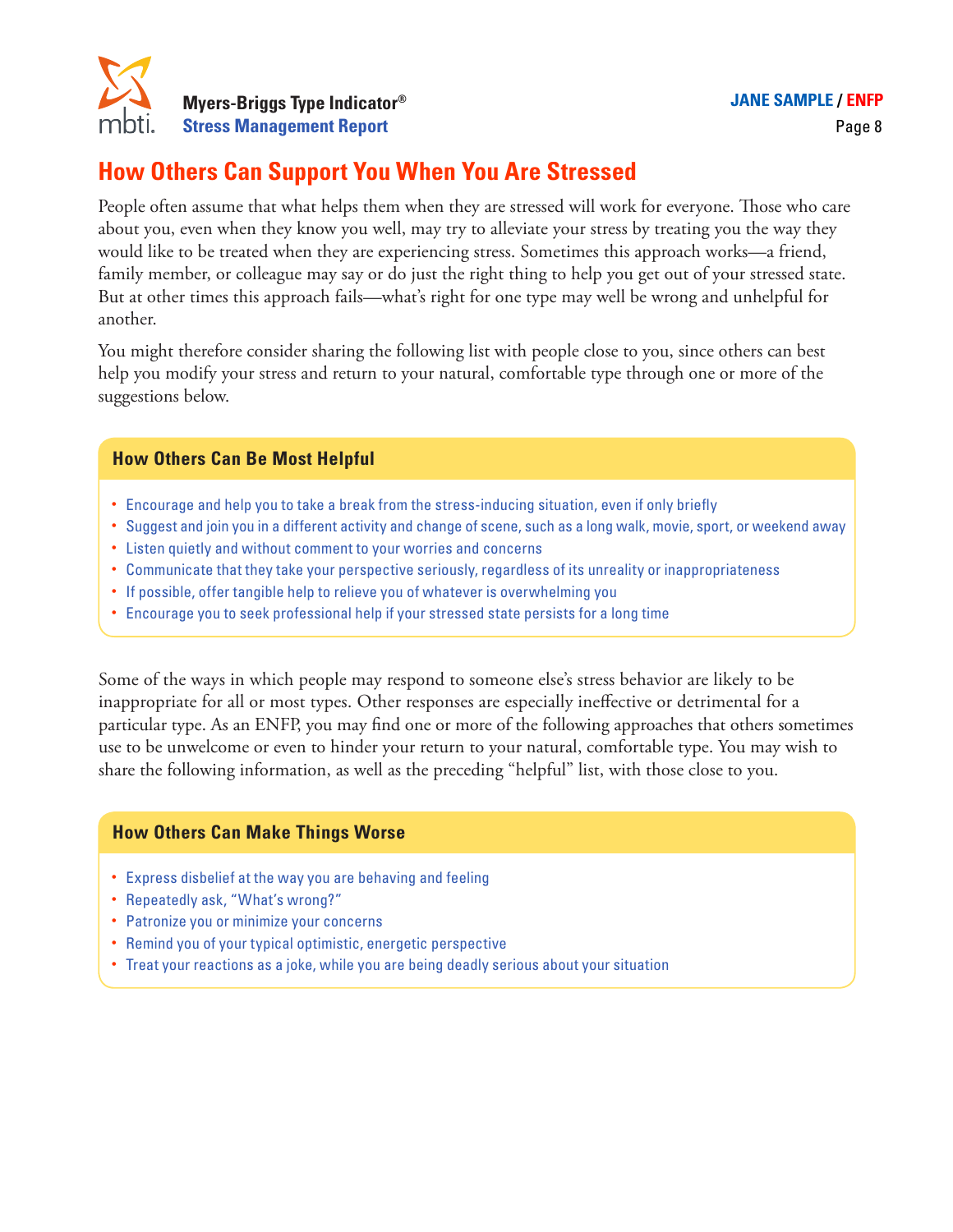

### **How Others Can Support You When You Are Stressed**

People often assume that what helps them when they are stressed will work for everyone. Those who care about you, even when they know you well, may try to alleviate your stress by treating you the way they would like to be treated when they are experiencing stress. Sometimes this approach works—a friend, family member, or colleague may say or do just the right thing to help you get out of your stressed state. But at other times this approach fails—what's right for one type may well be wrong and unhelpful for another.

You might therefore consider sharing the following list with people close to you, since others can best help you modify your stress and return to your natural, comfortable type through one or more of the suggestions below.

#### **How Others Can Be Most Helpful**

- Encourage and help you to take a break from the stress-inducing situation, even if only briefly
- Suggest and join you in a different activity and change of scene, such as a long walk, movie, sport, or weekend away
- Listen quietly and without comment to your worries and concerns
- Communicate that they take your perspective seriously, regardless of its unreality or inappropriateness
- If possible, offer tangible help to relieve you of whatever is overwhelming you
- Encourage you to seek professional help if your stressed state persists for a long time

Some of the ways in which people may respond to someone else's stress behavior are likely to be inappropriate for all or most types. Other responses are especially ineffective or detrimental for a particular type. As an ENFP, you may find one or more of the following approaches that others sometimes use to be unwelcome or even to hinder your return to your natural, comfortable type. You may wish to share the following information, as well as the preceding "helpful" list, with those close to you.

#### **How Others Can Make Things Worse**

- Express disbelief at the way you are behaving and feeling
- Repeatedly ask, "What's wrong?"
- Patronize you or minimize your concerns
- Remind you of your typical optimistic, energetic perspective
- Treat your reactions as a joke, while you are being deadly serious about your situation